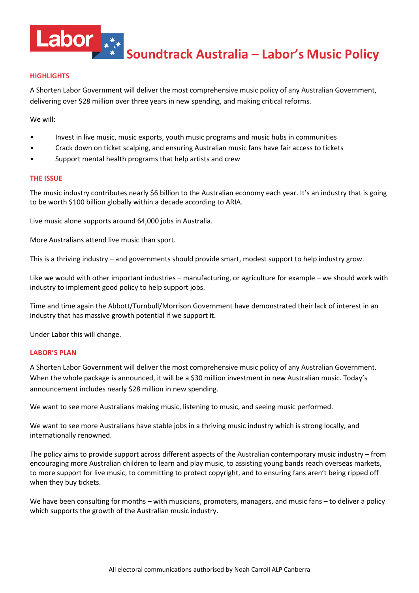

**Soundtrack Australia – Labor's Music Policy**

# **HIGHLIGHTS**

A Shorten Labor Government will deliver the most comprehensive music policy of any Australian Government, delivering over \$28 million over three years in new spending, and making critical reforms.

We will:

- Invest in live music, music exports, youth music programs and music hubs in communities
- Crack down on ticket scalping, and ensuring Australian music fans have fair access to tickets
- Support mental health programs that help artists and crew

## **THE ISSUE**

The music industry contributes nearly \$6 billion to the Australian economy each year. It's an industry that is going to be worth \$100 billion globally within a decade according to ARIA.

Live music alone supports around 64,000 jobs in Australia.

More Australians attend live music than sport.

This is a thriving industry – and governments should provide smart, modest support to help industry grow.

Like we would with other important industries – manufacturing, or agriculture for example – we should work with industry to implement good policy to help support jobs.

Time and time again the Abbott/Turnbull/Morrison Government have demonstrated their lack of interest in an industry that has massive growth potential if we support it.

Under Labor this will change.

## **LABOR'S PLAN**

A Shorten Labor Government will deliver the most comprehensive music policy of any Australian Government. When the whole package is announced, it will be a \$30 million investment in new Australian music. Today's announcement includes nearly \$28 million in new spending.

We want to see more Australians making music, listening to music, and seeing music performed.

We want to see more Australians have stable jobs in a thriving music industry which is strong locally, and internationally renowned.

The policy aims to provide support across different aspects of the Australian contemporary music industry – from encouraging more Australian children to learn and play music, to assisting young bands reach overseas markets, to more support for live music, to committing to protect copyright, and to ensuring fans aren't being ripped off when they buy tickets.

We have been consulting for months – with musicians, promoters, managers, and music fans – to deliver a policy which supports the growth of the Australian music industry.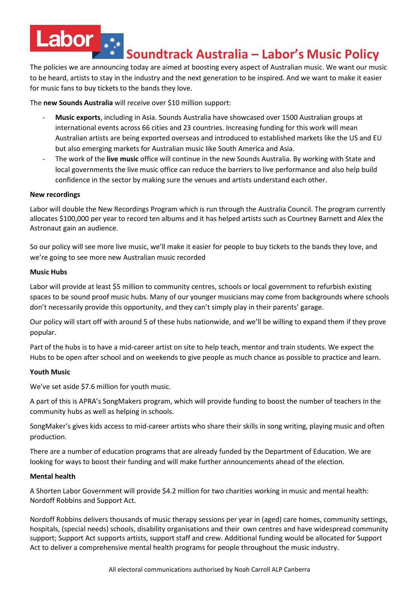# **Soundtrack Australia – Labor's Music Policy**

The policies we are announcing today are aimed at boosting every aspect of Australian music. We want our music to be heard, artists to stay in the industry and the next generation to be inspired. And we want to make it easier for music fans to buy tickets to the bands they love.

The **new Sounds Australia** will receive over \$10 million support:

- **Music exports**, including in Asia. Sounds Australia have showcased over 1500 Australian groups at international events across 66 cities and 23 countries. Increasing funding for this work will mean Australian artists are being exported overseas and introduced to established markets like the US and EU but also emerging markets for Australian music like South America and Asia.
- The work of the **live music** office will continue in the new Sounds Australia. By working with State and local governments the live music office can reduce the barriers to live performance and also help build confidence in the sector by making sure the venues and artists understand each other.

## **New recordings**

Labor

Labor will double the New Recordings Program which is run through the Australia Council. The program currently allocates \$100,000 per year to record ten albums and it has helped artists such as Courtney Barnett and Alex the Astronaut gain an audience.

So our policy will see more live music, we'll make it easier for people to buy tickets to the bands they love, and we're going to see more new Australian music recorded

## **Music Hubs**

Labor will provide at least \$5 million to community centres, schools or local government to refurbish existing spaces to be sound proof music hubs. Many of our younger musicians may come from backgrounds where schools don't necessarily provide this opportunity, and they can't simply play in their parents' garage.

Our policy will start off with around 5 of these hubs nationwide, and we'll be willing to expand them if they prove popular.

Part of the hubs is to have a mid-career artist on site to help teach, mentor and train students. We expect the Hubs to be open after school and on weekends to give people as much chance as possible to practice and learn.

# **Youth Music**

We've set aside \$7.6 million for youth music.

A part of this is APRA's SongMakers program, which will provide funding to boost the number of teachers in the community hubs as well as helping in schools.

SongMaker's gives kids access to mid-career artists who share their skills in song writing, playing music and often production.

There are a number of education programs that are already funded by the Department of Education. We are looking for ways to boost their funding and will make further announcements ahead of the election.

## **Mental health**

A Shorten Labor Government will provide \$4.2 million for two charities working in music and mental health: Nordoff Robbins and Support Act.

Nordoff Robbins delivers thousands of music therapy sessions per year in (aged) care homes, community settings, hospitals, (special needs) schools, disability organisations and their own centres and have widespread community support; Support Act supports artists, support staff and crew. Additional funding would be allocated for Support Act to deliver a comprehensive mental health programs for people throughout the music industry.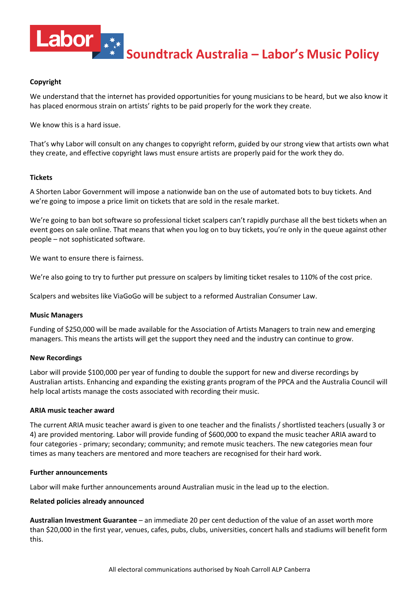

**Soundtrack Australia – Labor's Music Policy**

# **Copyright**

We understand that the internet has provided opportunities for young musicians to be heard, but we also know it has placed enormous strain on artists' rights to be paid properly for the work they create.

We know this is a hard issue.

That's why Labor will consult on any changes to copyright reform, guided by our strong view that artists own what they create, and effective copyright laws must ensure artists are properly paid for the work they do.

## **Tickets**

A Shorten Labor Government will impose a nationwide ban on the use of automated bots to buy tickets. And we're going to impose a price limit on tickets that are sold in the resale market.

We're going to ban bot software so professional ticket scalpers can't rapidly purchase all the best tickets when an event goes on sale online. That means that when you log on to buy tickets, you're only in the queue against other people – not sophisticated software.

We want to ensure there is fairness.

We're also going to try to further put pressure on scalpers by limiting ticket resales to 110% of the cost price.

Scalpers and websites like ViaGoGo will be subject to a reformed Australian Consumer Law.

## **Music Managers**

Funding of \$250,000 will be made available for the Association of Artists Managers to train new and emerging managers. This means the artists will get the support they need and the industry can continue to grow.

## **New Recordings**

Labor will provide \$100,000 per year of funding to double the support for new and diverse recordings by Australian artists. Enhancing and expanding the existing grants program of the PPCA and the Australia Council will help local artists manage the costs associated with recording their music.

## **ARIA music teacher award**

The current ARIA music teacher award is given to one teacher and the finalists / shortlisted teachers (usually 3 or 4) are provided mentoring. Labor will provide funding of \$600,000 to expand the music teacher ARIA award to four categories - primary; secondary; community; and remote music teachers. The new categories mean four times as many teachers are mentored and more teachers are recognised for their hard work.

## **Further announcements**

Labor will make further announcements around Australian music in the lead up to the election.

## **Related policies already announced**

**Australian Investment Guarantee** – an immediate 20 per cent deduction of the value of an asset worth more than \$20,000 in the first year, venues, cafes, pubs, clubs, universities, concert halls and stadiums will benefit form this.